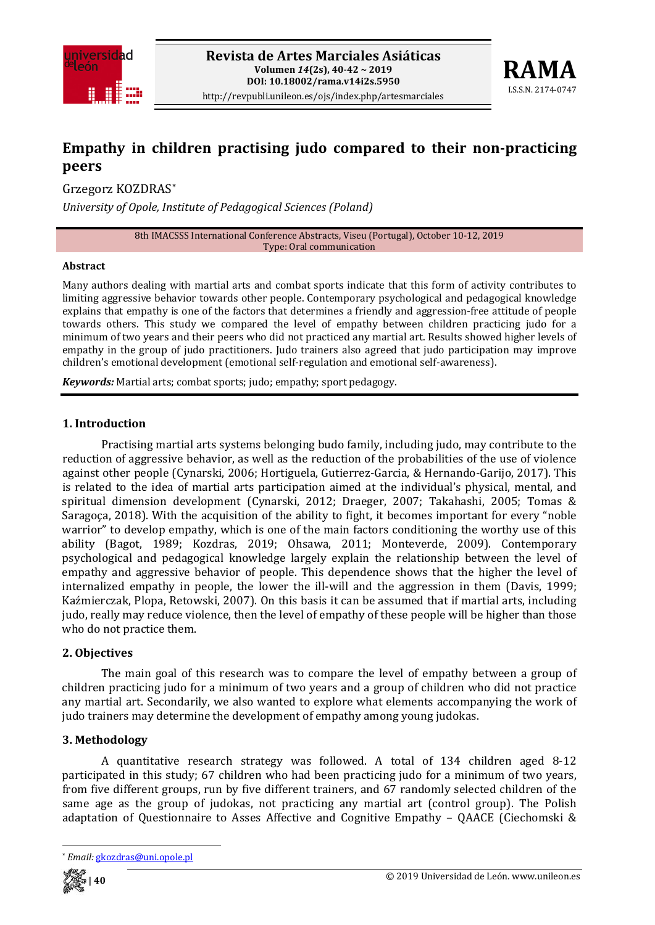



# **Empathy in children practising judo compared to their non-practicing peers**

Grzegorz KOZDRAS[\\*](#page-0-0)

*University of Opole, Institute of Pedagogical Sciences (Poland)*

8th IMACSSS International Conference Abstracts, Viseu (Portugal), October 10-12, 2019 Type: Oral communication

#### **Abstract**

Many authors dealing with martial arts and combat sports indicate that this form of activity contributes to limiting aggressive behavior towards other people. Contemporary psychological and pedagogical knowledge explains that empathy is one of the factors that determines a friendly and aggression-free attitude of people towards others. This study we compared the level of empathy between children practicing judo for a minimum of two years and their peers who did not practiced any martial art. Results showed higher levels of empathy in the group of judo practitioners. Judo trainers also agreed that judo participation may improve children's emotional development (emotional self-regulation and emotional self-awareness).

*Keywords:* Martial arts; combat sports; judo; empathy; sport pedagogy.

#### **1. Introduction**

Practising martial arts systems belonging budo family, including judo, may contribute to the reduction of aggressive behavior, as well as the reduction of the probabilities of the use of violence against other people (Cynarski, 2006; Hortiguela, Gutierrez-Garcia, & Hernando-Garijo, 2017). This is related to the idea of martial arts participation aimed at the individual's physical, mental, and spiritual dimension development (Cynarski, 2012; Draeger, 2007; Takahashi, 2005; Tomas & Saragoça, 2018). With the acquisition of the ability to fight, it becomes important for every "noble warrior" to develop empathy, which is one of the main factors conditioning the worthy use of this ability (Bagot, 1989; Kozdras, 2019; Ohsawa, 2011; Monteverde, 2009). Contemporary psychological and pedagogical knowledge largely explain the relationship between the level of empathy and aggressive behavior of people. This dependence shows that the higher the level of internalized empathy in people, the lower the ill-will and the aggression in them (Davis, 1999; Kaźmierczak, Plopa, Retowski, 2007). On this basis it can be assumed that if martial arts, including judo, really may reduce violence, then the level of empathy of these people will be higher than those who do not practice them.

#### **2. Objectives**

The main goal of this research was to compare the level of empathy between a group of children practicing judo for a minimum of two years and a group of children who did not practice any martial art. Secondarily, we also wanted to explore what elements accompanying the work of judo trainers may determine the development of empathy among young judokas.

#### **3. Methodology**

A quantitative research strategy was followed. A total of 134 children aged 8-12 participated in this study; 67 children who had been practicing judo for a minimum of two years, from five different groups, run by five different trainers, and 67 randomly selected children of the same age as the group of judokas, not practicing any martial art (control group). The Polish adaptation of Questionnaire to Asses Affective and Cognitive Empathy – QAACE (Ciechomski &

<span id="page-0-0"></span><sup>\*</sup> *Email:* [gkozdras@uni.opole.pl](mailto:gkozdras@uni.opole.pl)



 $\overline{\phantom{a}}$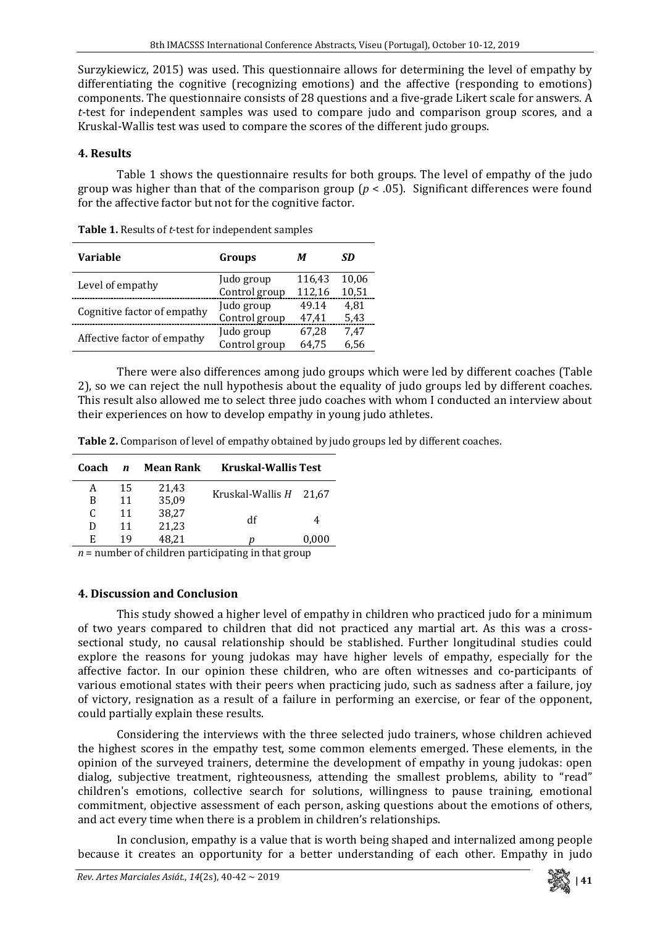Surzykiewicz, 2015) was used. This questionnaire allows for determining the level of empathy by differentiating the cognitive (recognizing emotions) and the affective (responding to emotions) components. The questionnaire consists of 28 questions and a five-grade Likert scale for answers. A *t*-test for independent samples was used to compare judo and comparison group scores, and a Kruskal-Wallis test was used to compare the scores of the different judo groups.

## **4. Results**

Table 1 shows the questionnaire results for both groups. The level of empathy of the judo group was higher than that of the comparison group (*p* < .05). Significant differences were found for the affective factor but not for the cognitive factor.

| <b>Variable</b>             | Groups        | М      | SD    |
|-----------------------------|---------------|--------|-------|
| Level of empathy            | Judo group    | 116,43 | 10,06 |
|                             | Control group | 112,16 | 10,51 |
|                             | Judo group    | 49.14  | 4.81  |
| Cognitive factor of empathy | Control group | 47.41  | 5,43  |
|                             | Judo group    | 67,28  | 7,47  |
| Affective factor of empathy | Control group | 64.75  | 6,56  |

**Table 1.** Results of *t*-test for independent samples

There were also differences among judo groups which were led by different coaches (Table 2), so we can reject the null hypothesis about the equality of judo groups led by different coaches. This result also allowed me to select three judo coaches with whom I conducted an interview about their experiences on how to develop empathy in young judo athletes.

| Table 2. Comparison of level of empathy obtained by judo groups led by different coaches. |
|-------------------------------------------------------------------------------------------|
|-------------------------------------------------------------------------------------------|

| Coach | n  | <b>Mean Rank</b> | <b>Kruskal-Wallis Test</b> |       |
|-------|----|------------------|----------------------------|-------|
| А     | 15 | 21,43            |                            |       |
| B     | 11 | 35,09            | Kruskal-Wallis $H$ 21,67   |       |
| C.    | 11 | 38,27            | df                         |       |
| D     | 11 | 21,23            |                            |       |
| E.    | 19 | 48.21            |                            | 0,000 |
|       |    | .                | _______                    |       |

 $n =$  number of children participating in that group

## **4. Discussion and Conclusion**

This study showed a higher level of empathy in children who practiced judo for a minimum of two years compared to children that did not practiced any martial art. As this was a crosssectional study, no causal relationship should be stablished. Further longitudinal studies could explore the reasons for young judokas may have higher levels of empathy, especially for the affective factor. In our opinion these children, who are often witnesses and co-participants of various emotional states with their peers when practicing judo, such as sadness after a failure, joy of victory, resignation as a result of a failure in performing an exercise, or fear of the opponent, could partially explain these results.

Considering the interviews with the three selected judo trainers, whose children achieved the highest scores in the empathy test, some common elements emerged. These elements, in the opinion of the surveyed trainers, determine the development of empathy in young judokas: open dialog, subjective treatment, righteousness, attending the smallest problems, ability to "read" children's emotions, collective search for solutions, willingness to pause training, emotional commitment, objective assessment of each person, asking questions about the emotions of others, and act every time when there is a problem in children's relationships.

In conclusion, empathy is a value that is worth being shaped and internalized among people because it creates an opportunity for a better understanding of each other. Empathy in judo